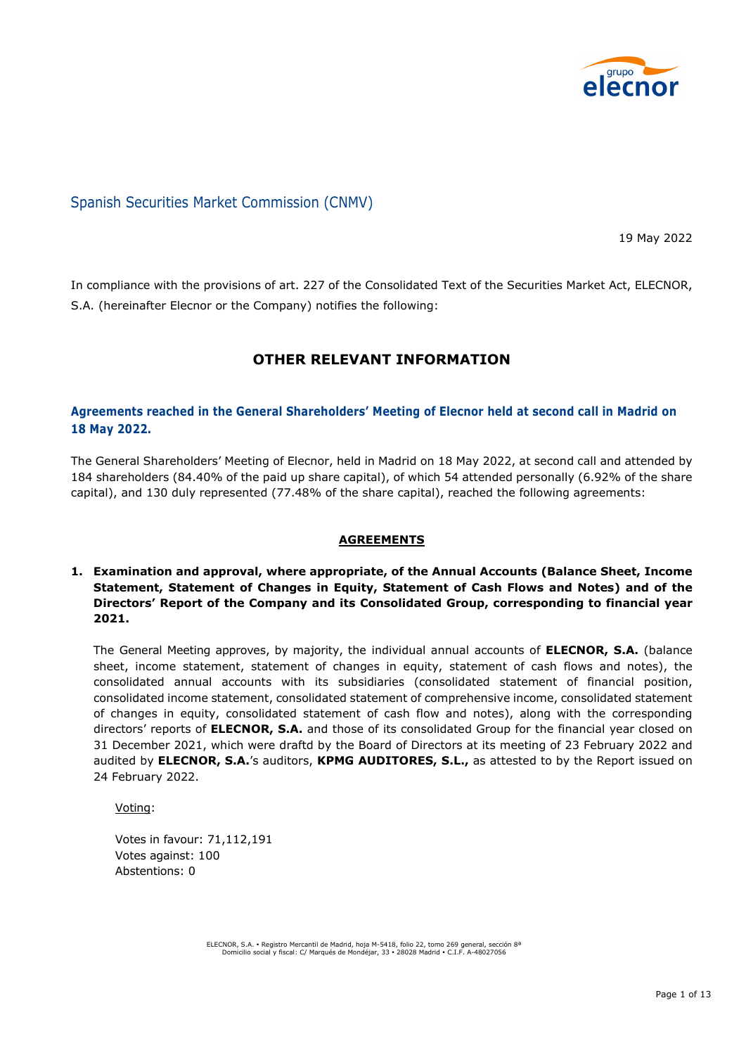

# Spanish Securities Market Commission (CNMV)

19 May 2022

In compliance with the provisions of art. 227 of the Consolidated Text of the Securities Market Act, ELECNOR, S.A. (hereinafter Elecnor or the Company) notifies the following:

# **OTHER RELEVANT INFORMATION**

# **Agreements reached in the General Shareholders' Meeting of Elecnor held at second call in Madrid on 18 May 2022.**

The General Shareholders' Meeting of Elecnor, held in Madrid on 18 May 2022, at second call and attended by 184 shareholders (84.40% of the paid up share capital), of which 54 attended personally (6.92% of the share capital), and 130 duly represented (77.48% of the share capital), reached the following agreements:

# **AGREEMENTS**

## **1. Examination and approval, where appropriate, of the Annual Accounts (Balance Sheet, Income Statement, Statement of Changes in Equity, Statement of Cash Flows and Notes) and of the Directors' Report of the Company and its Consolidated Group, corresponding to financial year 2021.**

The General Meeting approves, by majority, the individual annual accounts of **ELECNOR, S.A.** (balance sheet, income statement, statement of changes in equity, statement of cash flows and notes), the consolidated annual accounts with its subsidiaries (consolidated statement of financial position, consolidated income statement, consolidated statement of comprehensive income, consolidated statement of changes in equity, consolidated statement of cash flow and notes), along with the corresponding directors' reports of **ELECNOR, S.A.** and those of its consolidated Group for the financial year closed on 31 December 2021, which were draftd by the Board of Directors at its meeting of 23 February 2022 and audited by **ELECNOR, S.A.**'s auditors, **KPMG AUDITORES, S.L.,** as attested to by the Report issued on 24 February 2022.

Voting:

Votes in favour: 71,112,191 Votes against: 100 Abstentions: 0

ELECNOR, S.A. Registro Mercantil de Madrid, hoja M-5418, folio 22, tomo 269 general, sección 8ª Domicilio social y fiscal: C/ Marqués de Mondéjar, 33 28028 Madrid C.I.F. A-48027056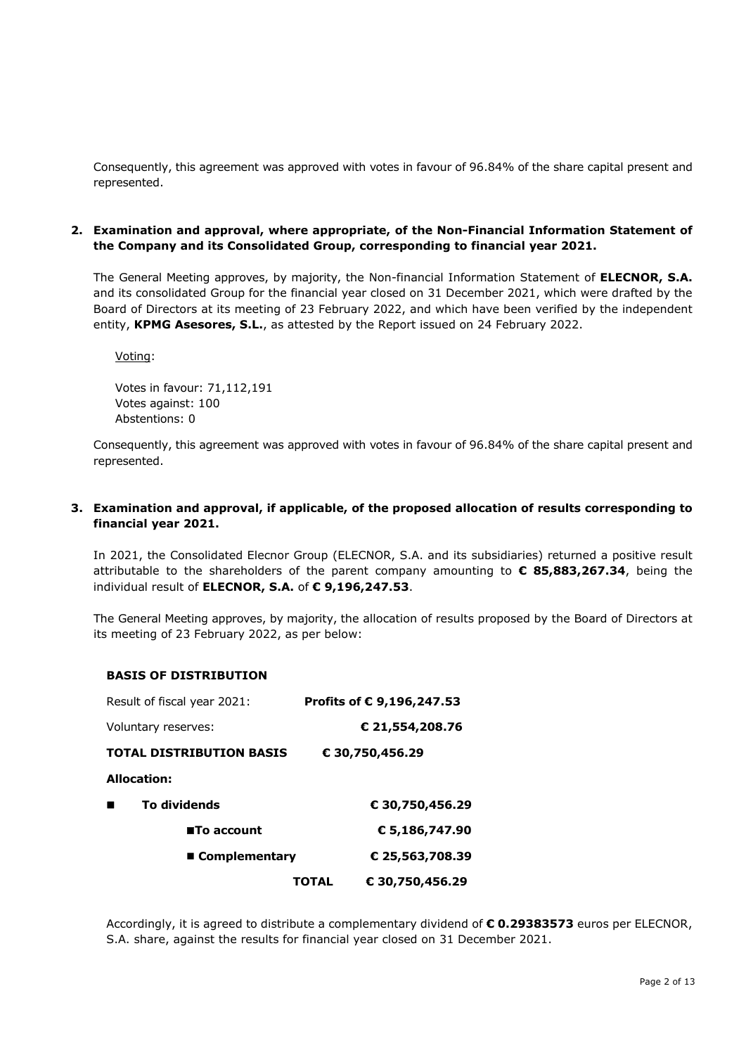Consequently, this agreement was approved with votes in favour of 96.84% of the share capital present and represented.

## **2. Examination and approval, where appropriate, of the Non-Financial Information Statement of the Company and its Consolidated Group, corresponding to financial year 2021.**

The General Meeting approves, by majority, the Non-financial Information Statement of **ELECNOR, S.A.** and its consolidated Group for the financial year closed on 31 December 2021, which were drafted by the Board of Directors at its meeting of 23 February 2022, and which have been verified by the independent entity, **KPMG Asesores, S.L.**, as attested by the Report issued on 24 February 2022.

Voting:

Votes in favour: 71,112,191 Votes against: 100 Abstentions: 0

Consequently, this agreement was approved with votes in favour of 96.84% of the share capital present and represented.

## **3. Examination and approval, if applicable, of the proposed allocation of results corresponding to financial year 2021.**

In 2021, the Consolidated Elecnor Group (ELECNOR, S.A. and its subsidiaries) returned a positive result attributable to the shareholders of the parent company amounting to **€ 85,883,267.34**, being the individual result of **ELECNOR, S.A.** of **€ 9,196,247.53**.

The General Meeting approves, by majority, the allocation of results proposed by the Board of Directors at its meeting of 23 February 2022, as per below:

#### **BASIS OF DISTRIBUTION**

| Result of fiscal year 2021:     | Profits of € 9,196,247.53       |
|---------------------------------|---------------------------------|
| Voluntary reserves:             | € 21,554,208.76                 |
| <b>TOTAL DISTRIBUTION BASIS</b> | € 30,750,456.29                 |
| <b>Allocation:</b>              |                                 |
| To dividends                    | € 30,750,456.29                 |
| <b>■To account</b>              | € 5,186,747.90                  |
| ■ Complementary                 | € 25,563,708.39                 |
|                                 | € 30,750,456.29<br><b>TOTAL</b> |

Accordingly, it is agreed to distribute a complementary dividend of **€ 0.29383573** euros per ELECNOR, S.A. share, against the results for financial year closed on 31 December 2021.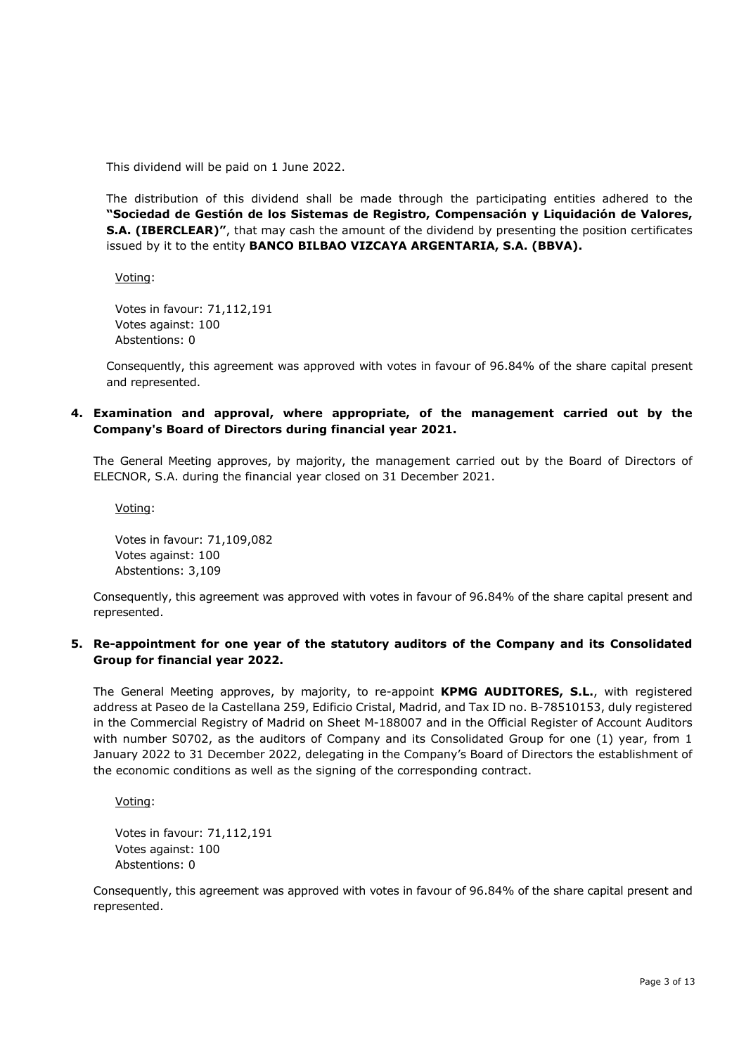This dividend will be paid on 1 June 2022.

The distribution of this dividend shall be made through the participating entities adhered to the **"Sociedad de Gestión de los Sistemas de Registro, Compensación y Liquidación de Valores, S.A. (IBERCLEAR)"**, that may cash the amount of the dividend by presenting the position certificates issued by it to the entity **BANCO BILBAO VIZCAYA ARGENTARIA, S.A. (BBVA).** 

Voting:

Votes in favour: 71,112,191 Votes against: 100 Abstentions: 0

Consequently, this agreement was approved with votes in favour of 96.84% of the share capital present and represented.

## **4. Examination and approval, where appropriate, of the management carried out by the Company's Board of Directors during financial year 2021.**

The General Meeting approves, by majority, the management carried out by the Board of Directors of ELECNOR, S.A. during the financial year closed on 31 December 2021.

Voting:

Votes in favour: 71,109,082 Votes against: 100 Abstentions: 3,109

Consequently, this agreement was approved with votes in favour of 96.84% of the share capital present and represented.

## **5. Re-appointment for one year of the statutory auditors of the Company and its Consolidated Group for financial year 2022.**

The General Meeting approves, by majority, to re-appoint **KPMG AUDITORES, S.L.**, with registered address at Paseo de la Castellana 259, Edificio Cristal, Madrid, and Tax ID no. B-78510153, duly registered in the Commercial Registry of Madrid on Sheet M-188007 and in the Official Register of Account Auditors with number S0702, as the auditors of Company and its Consolidated Group for one (1) year, from 1 January 2022 to 31 December 2022, delegating in the Company's Board of Directors the establishment of the economic conditions as well as the signing of the corresponding contract.

Voting:

Votes in favour: 71,112,191 Votes against: 100 Abstentions: 0

Consequently, this agreement was approved with votes in favour of 96.84% of the share capital present and represented.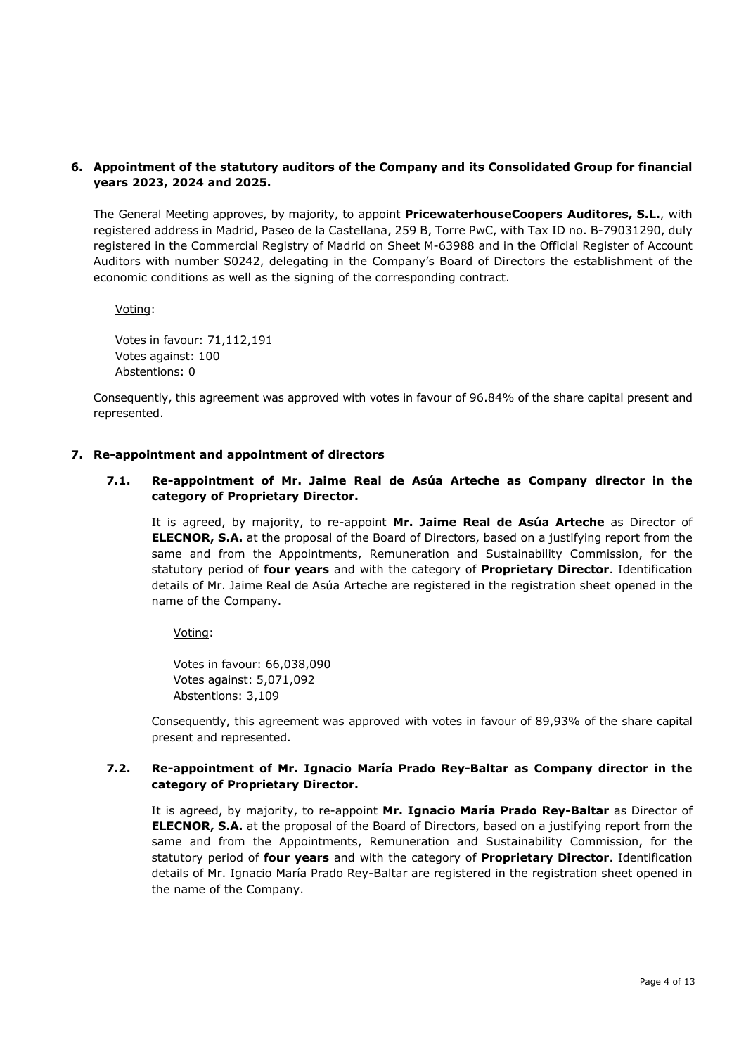# **6. Appointment of the statutory auditors of the Company and its Consolidated Group for financial years 2023, 2024 and 2025.**

The General Meeting approves, by majority, to appoint **PricewaterhouseCoopers Auditores, S.L.**, with registered address in Madrid, Paseo de la Castellana, 259 B, Torre PwC, with Tax ID no. B-79031290, duly registered in the Commercial Registry of Madrid on Sheet M-63988 and in the Official Register of Account Auditors with number S0242, delegating in the Company's Board of Directors the establishment of the economic conditions as well as the signing of the corresponding contract.

Voting:

Votes in favour: 71,112,191 Votes against: 100 Abstentions: 0

Consequently, this agreement was approved with votes in favour of 96.84% of the share capital present and represented.

#### **7. Re-appointment and appointment of directors**

**7.1. Re-appointment of Mr. Jaime Real de Asúa Arteche as Company director in the category of Proprietary Director.**

It is agreed, by majority, to re-appoint **Mr. Jaime Real de Asúa Arteche** as Director of **ELECNOR, S.A.** at the proposal of the Board of Directors, based on a justifying report from the same and from the Appointments, Remuneration and Sustainability Commission, for the statutory period of **four years** and with the category of **Proprietary Director**. Identification details of Mr. Jaime Real de Asúa Arteche are registered in the registration sheet opened in the name of the Company.

Voting:

Votes in favour: 66,038,090 Votes against: 5,071,092 Abstentions: 3,109

Consequently, this agreement was approved with votes in favour of 89,93% of the share capital present and represented.

#### **7.2. Re-appointment of Mr. Ignacio María Prado Rey-Baltar as Company director in the category of Proprietary Director.**

It is agreed, by majority, to re-appoint **Mr. Ignacio María Prado Rey-Baltar** as Director of **ELECNOR, S.A.** at the proposal of the Board of Directors, based on a justifying report from the same and from the Appointments, Remuneration and Sustainability Commission, for the statutory period of **four years** and with the category of **Proprietary Director**. Identification details of Mr. Ignacio María Prado Rey-Baltar are registered in the registration sheet opened in the name of the Company.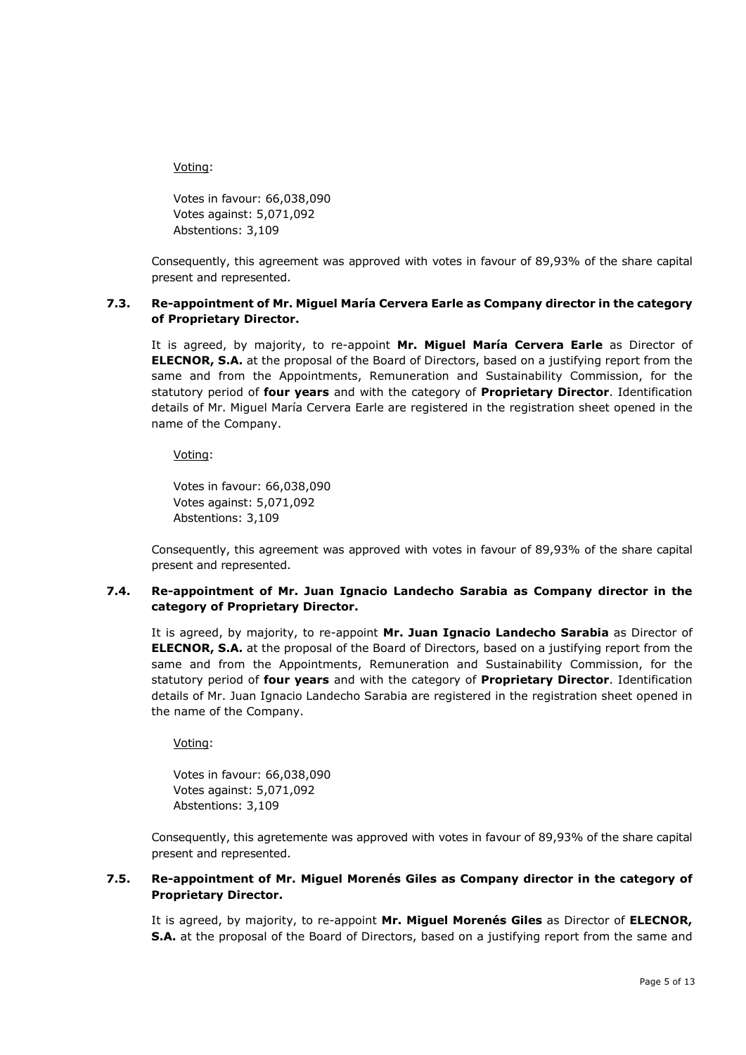#### Voting:

Votes in favour: 66,038,090 Votes against: 5,071,092 Abstentions: 3,109

Consequently, this agreement was approved with votes in favour of 89,93% of the share capital present and represented.

# **7.3. Re-appointment of Mr. Miguel María Cervera Earle as Company director in the category of Proprietary Director.**

It is agreed, by majority, to re-appoint **Mr. Miguel María Cervera Earle** as Director of **ELECNOR, S.A.** at the proposal of the Board of Directors, based on a justifying report from the same and from the Appointments, Remuneration and Sustainability Commission, for the statutory period of **four years** and with the category of **Proprietary Director**. Identification details of Mr. Miguel María Cervera Earle are registered in the registration sheet opened in the name of the Company.

## Voting:

Votes in favour: 66,038,090 Votes against: 5,071,092 Abstentions: 3,109

Consequently, this agreement was approved with votes in favour of 89,93% of the share capital present and represented.

## **7.4. Re-appointment of Mr. Juan Ignacio Landecho Sarabia as Company director in the category of Proprietary Director.**

It is agreed, by majority, to re-appoint **Mr. Juan Ignacio Landecho Sarabia** as Director of **ELECNOR, S.A.** at the proposal of the Board of Directors, based on a justifying report from the same and from the Appointments, Remuneration and Sustainability Commission, for the statutory period of **four years** and with the category of **Proprietary Director**. Identification details of Mr. Juan Ignacio Landecho Sarabia are registered in the registration sheet opened in the name of the Company.

# Voting:

Votes in favour: 66,038,090 Votes against: 5,071,092 Abstentions: 3,109

Consequently, this agretemente was approved with votes in favour of 89,93% of the share capital present and represented.

## **7.5. Re-appointment of Mr. Miguel Morenés Giles as Company director in the category of Proprietary Director.**

It is agreed, by majority, to re-appoint **Mr. Miguel Morenés Giles** as Director of **ELECNOR, S.A.** at the proposal of the Board of Directors, based on a justifying report from the same and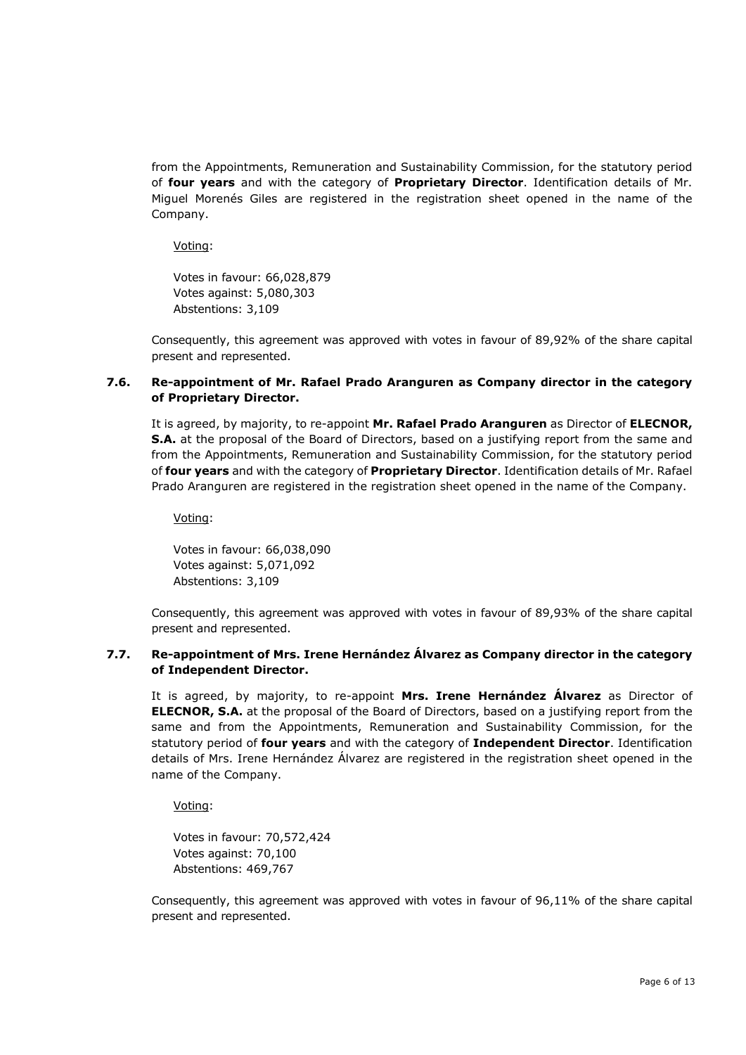from the Appointments, Remuneration and Sustainability Commission, for the statutory period of **four years** and with the category of **Proprietary Director**. Identification details of Mr. Miguel Morenés Giles are registered in the registration sheet opened in the name of the Company.

Voting:

Votes in favour: 66,028,879 Votes against: 5,080,303 Abstentions: 3,109

Consequently, this agreement was approved with votes in favour of 89,92% of the share capital present and represented.

# **7.6. Re-appointment of Mr. Rafael Prado Aranguren as Company director in the category of Proprietary Director.**

It is agreed, by majority, to re-appoint **Mr. Rafael Prado Aranguren** as Director of **ELECNOR, S.A.** at the proposal of the Board of Directors, based on a justifying report from the same and from the Appointments, Remuneration and Sustainability Commission, for the statutory period of **four years** and with the category of **Proprietary Director**. Identification details of Mr. Rafael Prado Aranguren are registered in the registration sheet opened in the name of the Company.

Voting:

Votes in favour: 66,038,090 Votes against: 5,071,092 Abstentions: 3,109

Consequently, this agreement was approved with votes in favour of 89,93% of the share capital present and represented.

# **7.7. Re-appointment of Mrs. Irene Hernández Álvarez as Company director in the category of Independent Director.**

It is agreed, by majority, to re-appoint **Mrs. Irene Hernández Álvarez** as Director of **ELECNOR, S.A.** at the proposal of the Board of Directors, based on a justifying report from the same and from the Appointments, Remuneration and Sustainability Commission, for the statutory period of **four years** and with the category of **Independent Director**. Identification details of Mrs. Irene Hernández Álvarez are registered in the registration sheet opened in the name of the Company.

Voting:

Votes in favour: 70,572,424 Votes against: 70,100 Abstentions: 469,767

Consequently, this agreement was approved with votes in favour of 96,11% of the share capital present and represented.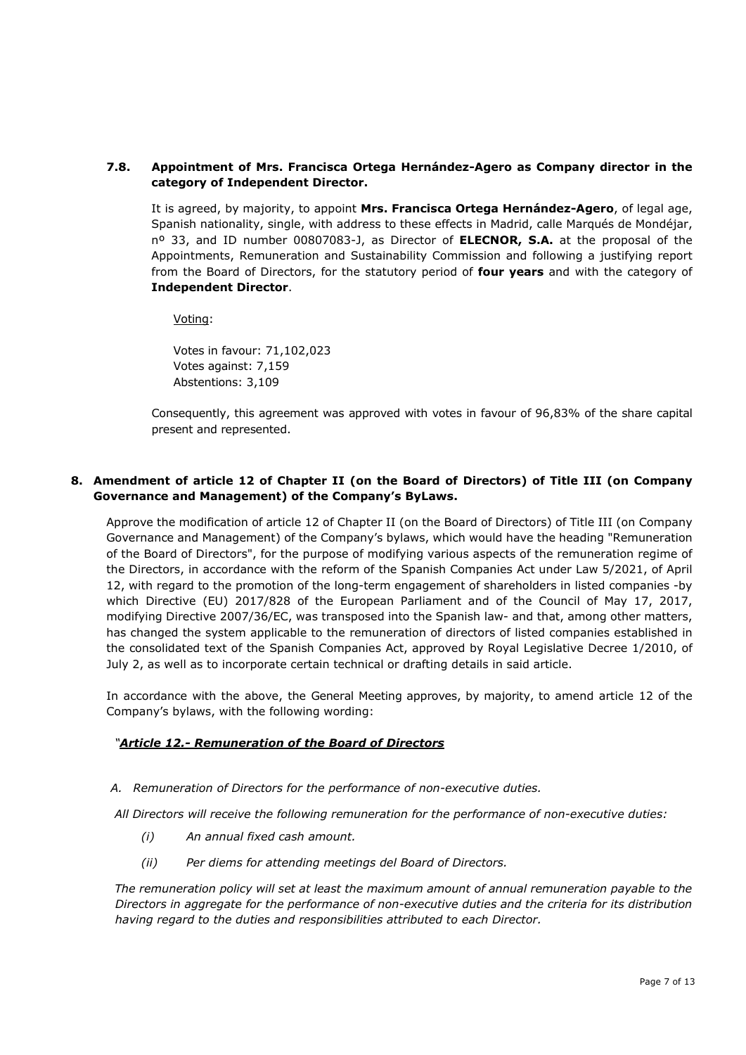## **7.8. Appointment of Mrs. Francisca Ortega Hernández-Agero as Company director in the category of Independent Director.**

It is agreed, by majority, to appoint **Mrs. Francisca Ortega Hernández-Agero**, of legal age, Spanish nationality, single, with address to these effects in Madrid, calle Marqués de Mondéjar, nº 33, and ID number 00807083-J, as Director of **ELECNOR, S.A.** at the proposal of the Appointments, Remuneration and Sustainability Commission and following a justifying report from the Board of Directors, for the statutory period of **four years** and with the category of **Independent Director**.

Voting:

Votes in favour: 71,102,023 Votes against: 7,159 Abstentions: 3,109

Consequently, this agreement was approved with votes in favour of 96,83% of the share capital present and represented.

# **8. Amendment of article 12 of Chapter II (on the Board of Directors) of Title III (on Company Governance and Management) of the Company's ByLaws.**

Approve the modification of article 12 of Chapter II (on the Board of Directors) of Title III (on Company Governance and Management) of the Company's bylaws, which would have the heading "Remuneration of the Board of Directors", for the purpose of modifying various aspects of the remuneration regime of the Directors, in accordance with the reform of the Spanish Companies Act under Law 5/2021, of April 12, with regard to the promotion of the long-term engagement of shareholders in listed companies -by which Directive (EU) 2017/828 of the European Parliament and of the Council of May 17, 2017, modifying Directive 2007/36/EC, was transposed into the Spanish law- and that, among other matters, has changed the system applicable to the remuneration of directors of listed companies established in the consolidated text of the Spanish Companies Act, approved by Royal Legislative Decree 1/2010, of July 2, as well as to incorporate certain technical or drafting details in said article.

In accordance with the above, the General Meeting approves, by majority, to amend article 12 of the Company's bylaws, with the following wording:

# *"Article 12.- Remuneration of the Board of Directors*

*A. Remuneration of Directors for the performance of non-executive duties.* 

*All Directors will receive the following remuneration for the performance of non-executive duties:* 

- *(i) An annual fixed cash amount.*
- *(ii) Per diems for attending meetings del Board of Directors.*

*The remuneration policy will set at least the maximum amount of annual remuneration payable to the Directors in aggregate for the performance of non-executive duties and the criteria for its distribution having regard to the duties and responsibilities attributed to each Director.*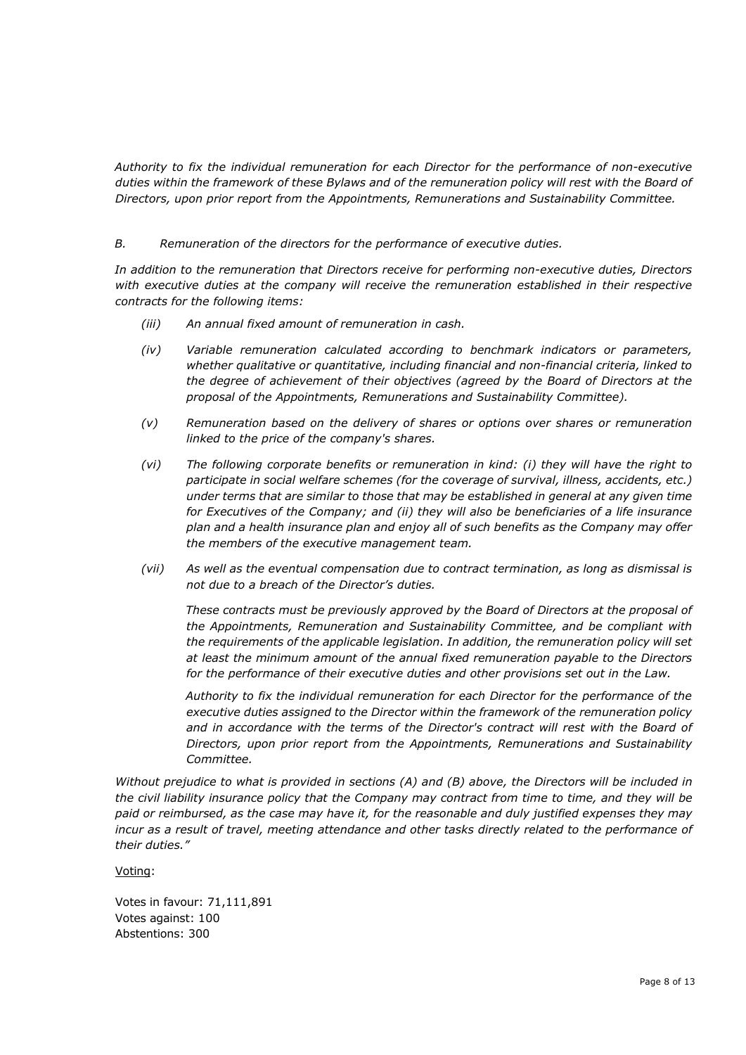*Authority to fix the individual remuneration for each Director for the performance of non-executive duties within the framework of these Bylaws and of the remuneration policy will rest with the Board of Directors, upon prior report from the Appointments, Remunerations and Sustainability Committee.*

#### *B. Remuneration of the directors for the performance of executive duties.*

*In addition to the remuneration that Directors receive for performing non-executive duties, Directors with executive duties at the company will receive the remuneration established in their respective contracts for the following items:*

- *(iii) An annual fixed amount of remuneration in cash.*
- *(iv) Variable remuneration calculated according to benchmark indicators or parameters, whether qualitative or quantitative, including financial and non-financial criteria, linked to the degree of achievement of their objectives (agreed by the Board of Directors at the proposal of the Appointments, Remunerations and Sustainability Committee).*
- *(v) Remuneration based on the delivery of shares or options over shares or remuneration linked to the price of the company's shares.*
- *(vi) The following corporate benefits or remuneration in kind: (i) they will have the right to participate in social welfare schemes (for the coverage of survival, illness, accidents, etc.) under terms that are similar to those that may be established in general at any given time for Executives of the Company; and (ii) they will also be beneficiaries of a life insurance plan and a health insurance plan and enjoy all of such benefits as the Company may offer the members of the executive management team.*
- *(vii) As well as the eventual compensation due to contract termination, as long as dismissal is not due to a breach of the Director's duties.*

*These contracts must be previously approved by the Board of Directors at the proposal of the Appointments, Remuneration and Sustainability Committee, and be compliant with the requirements of the applicable legislation. In addition, the remuneration policy will set at least the minimum amount of the annual fixed remuneration payable to the Directors for the performance of their executive duties and other provisions set out in the Law.*

*Authority to fix the individual remuneration for each Director for the performance of the executive duties assigned to the Director within the framework of the remuneration policy and in accordance with the terms of the Director's contract will rest with the Board of Directors, upon prior report from the Appointments, Remunerations and Sustainability Committee.*

*Without prejudice to what is provided in sections (A) and (B) above, the Directors will be included in the civil liability insurance policy that the Company may contract from time to time, and they will be paid or reimbursed, as the case may have it, for the reasonable and duly justified expenses they may incur as a result of travel, meeting attendance and other tasks directly related to the performance of their duties."*

Voting:

Votes in favour: 71,111,891 Votes against: 100 Abstentions: 300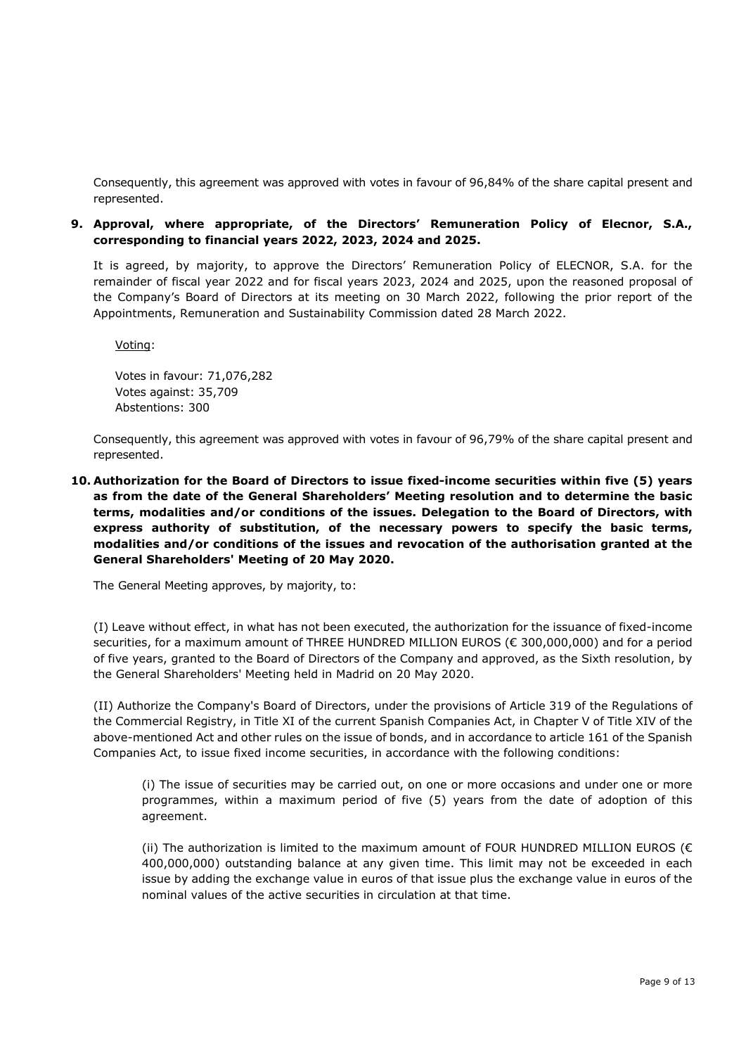Consequently, this agreement was approved with votes in favour of 96,84% of the share capital present and represented.

## **9. Approval, where appropriate, of the Directors' Remuneration Policy of Elecnor, S.A., corresponding to financial years 2022, 2023, 2024 and 2025.**

It is agreed, by majority, to approve the Directors' Remuneration Policy of ELECNOR, S.A. for the remainder of fiscal year 2022 and for fiscal years 2023, 2024 and 2025, upon the reasoned proposal of the Company's Board of Directors at its meeting on 30 March 2022, following the prior report of the Appointments, Remuneration and Sustainability Commission dated 28 March 2022.

Voting:

Votes in favour: 71,076,282 Votes against: 35,709 Abstentions: 300

Consequently, this agreement was approved with votes in favour of 96,79% of the share capital present and represented.

**10. Authorization for the Board of Directors to issue fixed-income securities within five (5) years as from the date of the General Shareholders' Meeting resolution and to determine the basic terms, modalities and/or conditions of the issues. Delegation to the Board of Directors, with express authority of substitution, of the necessary powers to specify the basic terms, modalities and/or conditions of the issues and revocation of the authorisation granted at the General Shareholders' Meeting of 20 May 2020.**

The General Meeting approves, by majority, to:

(I) Leave without effect, in what has not been executed, the authorization for the issuance of fixed-income securities, for a maximum amount of THREE HUNDRED MILLION EUROS (€ 300,000,000) and for a period of five years, granted to the Board of Directors of the Company and approved, as the Sixth resolution, by the General Shareholders' Meeting held in Madrid on 20 May 2020.

(II) Authorize the Company's Board of Directors, under the provisions of Article 319 of the Regulations of the Commercial Registry, in Title XI of the current Spanish Companies Act, in Chapter V of Title XIV of the above-mentioned Act and other rules on the issue of bonds, and in accordance to article 161 of the Spanish Companies Act, to issue fixed income securities, in accordance with the following conditions:

(i) The issue of securities may be carried out, on one or more occasions and under one or more programmes, within a maximum period of five (5) years from the date of adoption of this agreement.

(ii) The authorization is limited to the maximum amount of FOUR HUNDRED MILLION EUROS ( $\epsilon$ ) 400,000,000) outstanding balance at any given time. This limit may not be exceeded in each issue by adding the exchange value in euros of that issue plus the exchange value in euros of the nominal values of the active securities in circulation at that time.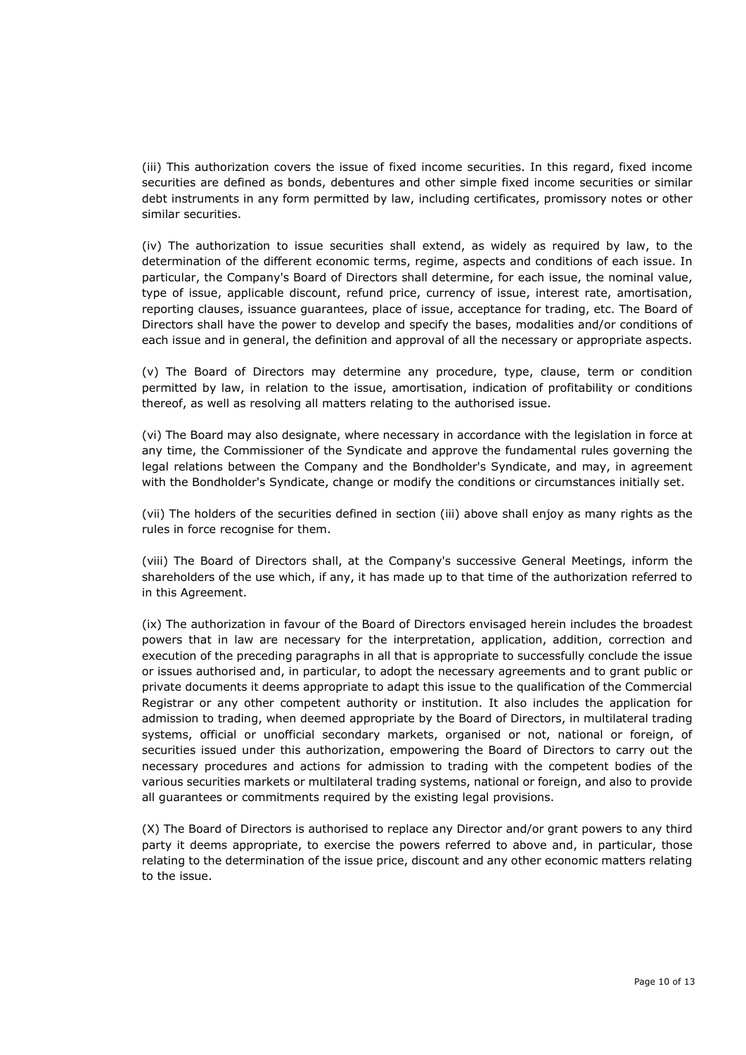(iii) This authorization covers the issue of fixed income securities. In this regard, fixed income securities are defined as bonds, debentures and other simple fixed income securities or similar debt instruments in any form permitted by law, including certificates, promissory notes or other similar securities.

(iv) The authorization to issue securities shall extend, as widely as required by law, to the determination of the different economic terms, regime, aspects and conditions of each issue. In particular, the Company's Board of Directors shall determine, for each issue, the nominal value, type of issue, applicable discount, refund price, currency of issue, interest rate, amortisation, reporting clauses, issuance guarantees, place of issue, acceptance for trading, etc. The Board of Directors shall have the power to develop and specify the bases, modalities and/or conditions of each issue and in general, the definition and approval of all the necessary or appropriate aspects.

(v) The Board of Directors may determine any procedure, type, clause, term or condition permitted by law, in relation to the issue, amortisation, indication of profitability or conditions thereof, as well as resolving all matters relating to the authorised issue.

(vi) The Board may also designate, where necessary in accordance with the legislation in force at any time, the Commissioner of the Syndicate and approve the fundamental rules governing the legal relations between the Company and the Bondholder's Syndicate, and may, in agreement with the Bondholder's Syndicate, change or modify the conditions or circumstances initially set.

(vii) The holders of the securities defined in section (iii) above shall enjoy as many rights as the rules in force recognise for them.

(viii) The Board of Directors shall, at the Company's successive General Meetings, inform the shareholders of the use which, if any, it has made up to that time of the authorization referred to in this Agreement.

(ix) The authorization in favour of the Board of Directors envisaged herein includes the broadest powers that in law are necessary for the interpretation, application, addition, correction and execution of the preceding paragraphs in all that is appropriate to successfully conclude the issue or issues authorised and, in particular, to adopt the necessary agreements and to grant public or private documents it deems appropriate to adapt this issue to the qualification of the Commercial Registrar or any other competent authority or institution. It also includes the application for admission to trading, when deemed appropriate by the Board of Directors, in multilateral trading systems, official or unofficial secondary markets, organised or not, national or foreign, of securities issued under this authorization, empowering the Board of Directors to carry out the necessary procedures and actions for admission to trading with the competent bodies of the various securities markets or multilateral trading systems, national or foreign, and also to provide all guarantees or commitments required by the existing legal provisions.

(X) The Board of Directors is authorised to replace any Director and/or grant powers to any third party it deems appropriate, to exercise the powers referred to above and, in particular, those relating to the determination of the issue price, discount and any other economic matters relating to the issue.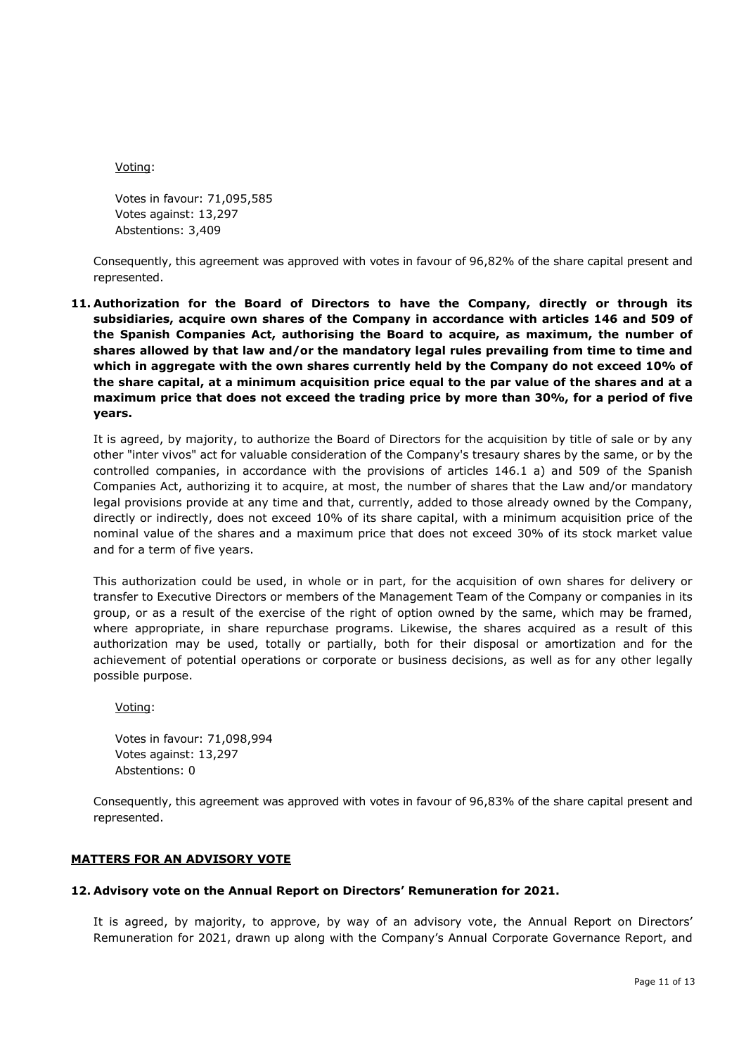Voting:

Votes in favour: 71,095,585 Votes against: 13,297 Abstentions: 3,409

Consequently, this agreement was approved with votes in favour of 96,82% of the share capital present and represented.

**11. Authorization for the Board of Directors to have the Company, directly or through its subsidiaries, acquire own shares of the Company in accordance with articles 146 and 509 of the Spanish Companies Act, authorising the Board to acquire, as maximum, the number of shares allowed by that law and/or the mandatory legal rules prevailing from time to time and which in aggregate with the own shares currently held by the Company do not exceed 10% of the share capital, at a minimum acquisition price equal to the par value of the shares and at a maximum price that does not exceed the trading price by more than 30%, for a period of five years.**

It is agreed, by majority, to authorize the Board of Directors for the acquisition by title of sale or by any other "inter vivos" act for valuable consideration of the Company's tresaury shares by the same, or by the controlled companies, in accordance with the provisions of articles 146.1 a) and 509 of the Spanish Companies Act, authorizing it to acquire, at most, the number of shares that the Law and/or mandatory legal provisions provide at any time and that, currently, added to those already owned by the Company, directly or indirectly, does not exceed 10% of its share capital, with a minimum acquisition price of the nominal value of the shares and a maximum price that does not exceed 30% of its stock market value and for a term of five years.

This authorization could be used, in whole or in part, for the acquisition of own shares for delivery or transfer to Executive Directors or members of the Management Team of the Company or companies in its group, or as a result of the exercise of the right of option owned by the same, which may be framed, where appropriate, in share repurchase programs. Likewise, the shares acquired as a result of this authorization may be used, totally or partially, both for their disposal or amortization and for the achievement of potential operations or corporate or business decisions, as well as for any other legally possible purpose.

Voting:

Votes in favour: 71,098,994 Votes against: 13,297 Abstentions: 0

Consequently, this agreement was approved with votes in favour of 96,83% of the share capital present and represented.

#### **MATTERS FOR AN ADVISORY VOTE**

#### **12. Advisory vote on the Annual Report on Directors' Remuneration for 2021.**

It is agreed, by majority, to approve, by way of an advisory vote, the Annual Report on Directors' Remuneration for 2021, drawn up along with the Company's Annual Corporate Governance Report, and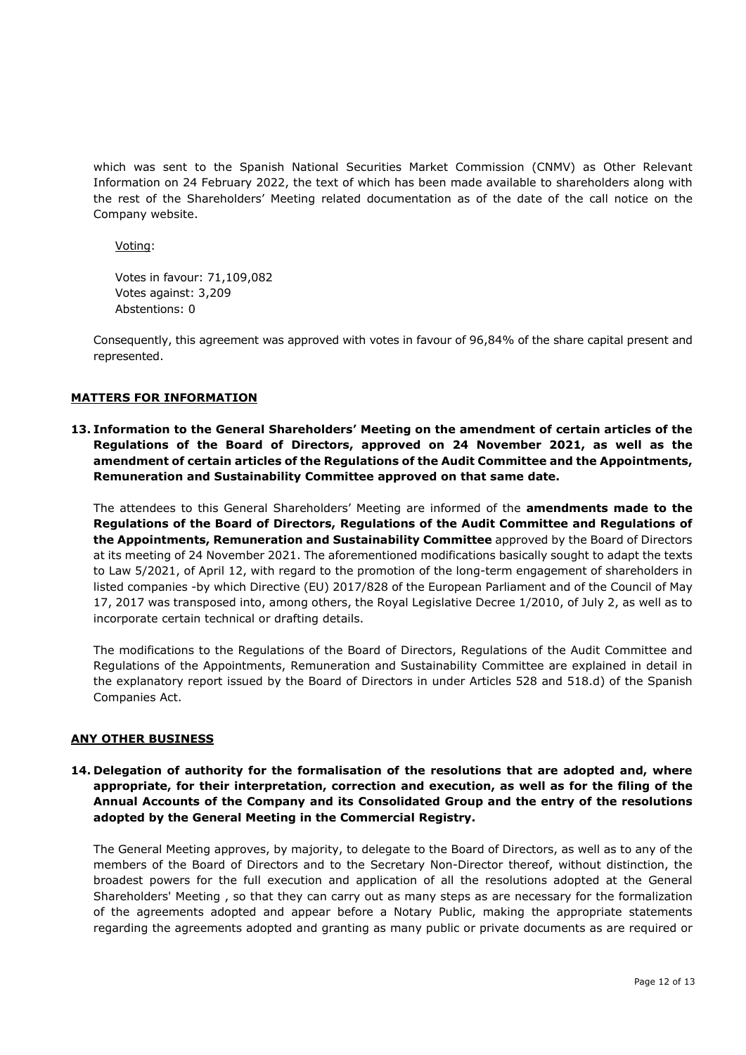which was sent to the Spanish National Securities Market Commission (CNMV) as Other Relevant Information on 24 February 2022, the text of which has been made available to shareholders along with the rest of the Shareholders' Meeting related documentation as of the date of the call notice on the Company website.

Voting:

Votes in favour: 71,109,082 Votes against: 3,209 Abstentions: 0

Consequently, this agreement was approved with votes in favour of 96,84% of the share capital present and represented.

## **MATTERS FOR INFORMATION**

**13. Information to the General Shareholders' Meeting on the amendment of certain articles of the Regulations of the Board of Directors, approved on 24 November 2021, as well as the amendment of certain articles of the Regulations of the Audit Committee and the Appointments, Remuneration and Sustainability Committee approved on that same date.**

The attendees to this General Shareholders' Meeting are informed of the **amendments made to the Regulations of the Board of Directors, Regulations of the Audit Committee and Regulations of the Appointments, Remuneration and Sustainability Committee** approved by the Board of Directors at its meeting of 24 November 2021. The aforementioned modifications basically sought to adapt the texts to Law 5/2021, of April 12, with regard to the promotion of the long-term engagement of shareholders in listed companies -by which Directive (EU) 2017/828 of the European Parliament and of the Council of May 17, 2017 was transposed into, among others, the Royal Legislative Decree 1/2010, of July 2, as well as to incorporate certain technical or drafting details.

The modifications to the Regulations of the Board of Directors, Regulations of the Audit Committee and Regulations of the Appointments, Remuneration and Sustainability Committee are explained in detail in the explanatory report issued by the Board of Directors in under Articles 528 and 518.d) of the Spanish Companies Act.

#### **ANY OTHER BUSINESS**

**14. Delegation of authority for the formalisation of the resolutions that are adopted and, where appropriate, for their interpretation, correction and execution, as well as for the filing of the Annual Accounts of the Company and its Consolidated Group and the entry of the resolutions adopted by the General Meeting in the Commercial Registry.**

The General Meeting approves, by majority, to delegate to the Board of Directors, as well as to any of the members of the Board of Directors and to the Secretary Non-Director thereof, without distinction, the broadest powers for the full execution and application of all the resolutions adopted at the General Shareholders' Meeting , so that they can carry out as many steps as are necessary for the formalization of the agreements adopted and appear before a Notary Public, making the appropriate statements regarding the agreements adopted and granting as many public or private documents as are required or